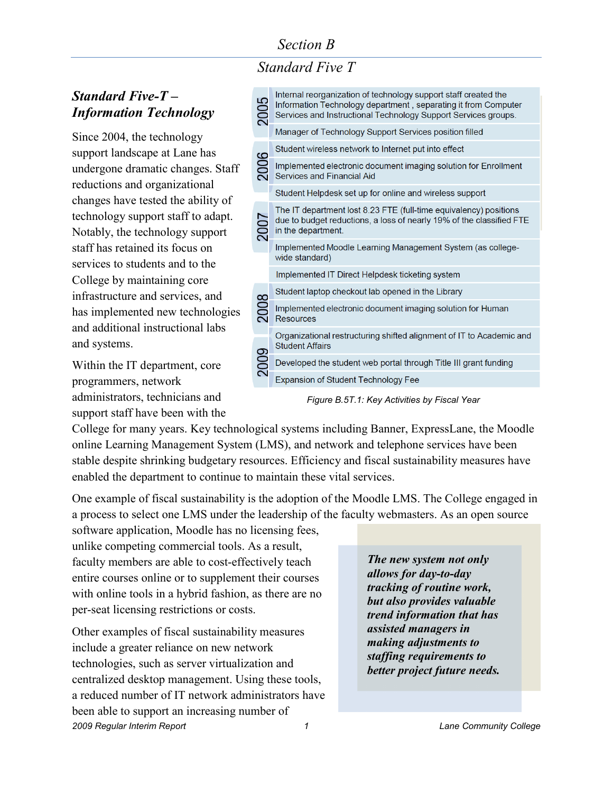*Standard Five T*

#### *Standard Five-T – Information Technology*

Since 2004, the technology support landscape at Lane has undergone dramatic changes. Staff reductions and organizational changes have tested the ability of technology support staff to adapt. Notably, the technology support staff has retained its focus on services to students and to the College by maintaining core infrastructure and services, and has implemented new technologies and additional instructional labs and systems.

Within the IT department, core programmers, network administrators, technicians and support staff have been with the

Internal reorganization of technology support staff created the 2005 Information Technology department, separating it from Computer Services and Instructional Technology Support Services groups. **Manager of Technology Support Services position filled** Student wireless network to Internet put into effect 2006 *increased as they are able to*  work maging solution for Emoti<br>id Student Helpdesk set up for online and wireless support The IT department lost 8.23 FTE (full-time equivalency) positions 2007 due to budget reductions, a loss of nearly 19% of the classified FTE in the department. Implemented Moodle Learning Management System (as collegewide standard) Implemented IT Direct Helpdesk ticketing system Student laptop checkout lab opened in the Library 2008 Implemented electronic document imaging solution for Human **Resources** Organizational restructuring shifted alignment of IT to Academic and **Student Affairs** 2009 Developed the student web portal through Title III grant funding **Expansion of Student Technology Fee** 

*Figure B.5T.1: Key Activities by Fiscal Year*

College for many years. Key technological systems including Banner, ExpressLane, the Moodle online Learning Management System (LMS), and network and telephone services have been stable despite shrinking budgetary resources. Efficiency and fiscal sustainability measures have enabled the department to continue to maintain these vital services.

One example of fiscal sustainability is the adoption of the Moodle LMS. The College engaged in a process to select one LMS under the leadership of the faculty webmasters. As an open source

software application, Moodle has no licensing fees, unlike competing commercial tools. As a result, faculty members are able to cost-effectively teach entire courses online or to supplement their courses with online tools in a hybrid fashion, as there are no per-seat licensing restrictions or costs.

*2009 Regular Interim Report 1 Lane Community College* Other examples of fiscal sustainability measures include a greater reliance on new network technologies, such as server virtualization and centralized desktop management. Using these tools, a reduced number of IT network administrators have been able to support an increasing number of

*The new system not only allows for day-to-day tracking of routine work, but also provides valuable trend information that has assisted managers in making adjustments to staffing requirements to better project future needs.*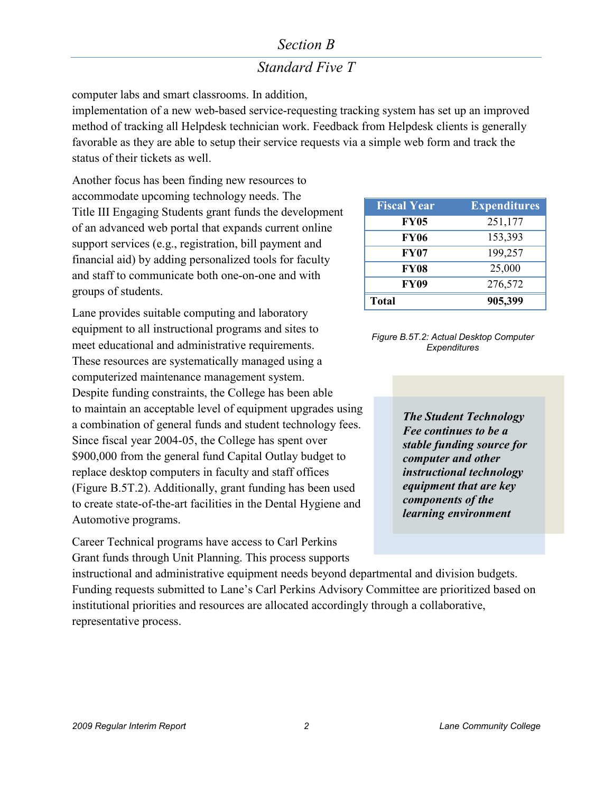## *Standard Five T*

computer labs and smart classrooms. In addition,

implementation of a new web-based service-requesting tracking system has set up an improved method of tracking all Helpdesk technician work. Feedback from Helpdesk clients is generally favorable as they are able to setup their service requests via a simple web form and track the status of their tickets as well.

Another focus has been finding new resources to accommodate upcoming technology needs. The Title III Engaging Students grant funds the development of an advanced web portal that expands current online support services (e.g., registration, bill payment and financial aid) by adding personalized tools for faculty and staff to communicate both one-on-one and with groups of students.

Lane provides suitable computing and laboratory equipment to all instructional programs and sites to meet educational and administrative requirements. These resources are systematically managed using a computerized maintenance management system. Despite funding constraints, the College has been able to maintain an acceptable level of equipment upgrades using a combination of general funds and student technology fees. Since fiscal year 2004-05, the College has spent over \$900,000 from the general fund Capital Outlay budget to replace desktop computers in faculty and staff offices (Figure B.5T.2). Additionally, grant funding has been used to create state-of-the-art facilities in the Dental Hygiene and Automotive programs.

Career Technical programs have access to Carl Perkins Grant funds through Unit Planning. This process supports

| <b>Fiscal Year</b> | <b>Expenditures</b> |  |  |
|--------------------|---------------------|--|--|
| <b>FY05</b>        | 251,177             |  |  |
| <b>FY06</b>        | 153,393             |  |  |
| <b>FY07</b>        | 199,257             |  |  |
| <b>FY08</b>        | 25,000              |  |  |
| <b>FY09</b>        | 276,572             |  |  |
| <b>Total</b>       | 905,399             |  |  |



*The Student Technology Fee continues to be a stable funding source for computer and other instructional technology equipment that are key components of the learning environment*

instructional and administrative equipment needs beyond departmental and division budgets. Funding requests submitted to Lane's Carl Perkins Advisory Committee are prioritized based on institutional priorities and resources are allocated accordingly through a collaborative, representative process.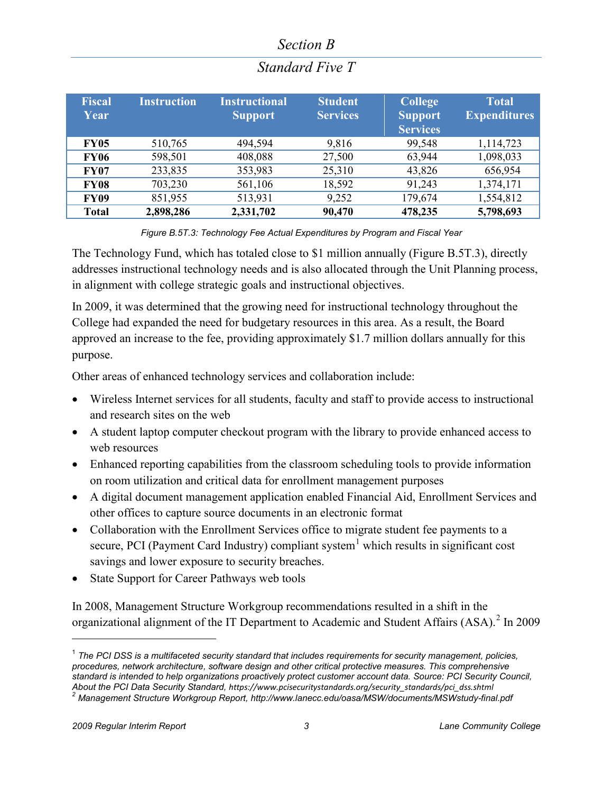| <b>Fiscal</b><br>Year | <b>Instruction</b> | <b>Instructional</b><br><b>Support</b> | <b>Student</b><br><b>Services</b> | <b>College</b><br><b>Support</b><br><b>Services</b> | <b>Total</b><br><b>Expenditures</b> |
|-----------------------|--------------------|----------------------------------------|-----------------------------------|-----------------------------------------------------|-------------------------------------|
| <b>FY05</b>           | 510,765            | 494,594                                | 9,816                             | 99,548                                              | 1,114,723                           |
| <b>FY06</b>           | 598,501            | 408,088                                | 27,500                            | 63,944                                              | 1,098,033                           |
| <b>FY07</b>           | 233,835            | 353,983                                | 25,310                            | 43,826                                              | 656,954                             |
| <b>FY08</b>           | 703,230            | 561,106                                | 18,592                            | 91,243                                              | 1,374,171                           |
| <b>FY09</b>           | 851,955            | 513,931                                | 9,252                             | 179,674                                             | 1,554,812                           |
| <b>Total</b>          | 2,898,286          | 2,331,702                              | 90,470                            | 478,235                                             | 5,798,693                           |

## *Standard Five T*

*Figure B.5T.3: Technology Fee Actual Expenditures by Program and Fiscal Year*

The Technology Fund, which has totaled close to \$1 million annually (Figure B.5T.3), directly addresses instructional technology needs and is also allocated through the Unit Planning process, in alignment with college strategic goals and instructional objectives.

In 2009, it was determined that the growing need for instructional technology throughout the College had expanded the need for budgetary resources in this area. As a result, the Board approved an increase to the fee, providing approximately \$1.7 million dollars annually for this purpose.

Other areas of enhanced technology services and collaboration include:

- Wireless Internet services for all students, faculty and staff to provide access to instructional and research sites on the web
- A student laptop computer checkout program with the library to provide enhanced access to web resources
- Enhanced reporting capabilities from the classroom scheduling tools to provide information on room utilization and critical data for enrollment management purposes
- A digital document management application enabled Financial Aid, Enrollment Services and other offices to capture source documents in an electronic format
- Collaboration with the Enrollment Services office to migrate student fee payments to a secure, PCI (Payment Card Industry) compliant system $<sup>1</sup>$  $<sup>1</sup>$  $<sup>1</sup>$  which results in significant cost</sup> savings and lower exposure to security breaches.
- State Support for Career Pathways web tools

In 2008, Management Structure Workgroup recommendations resulted in a shift in the organizational alignment of the IT Department to Academic and Student Affairs  $(ASA)^2$  $(ASA)^2$  In 2009

 $\overline{a}$ 

<span id="page-2-1"></span><span id="page-2-0"></span><sup>1</sup> *The PCI DSS is a multifaceted security standard that includes requirements for security management, policies, procedures, network architecture, software design and other critical protective measures. This comprehensive standard is intended to help organizations proactively protect customer account data. Source: PCI Security Council, About the PCI Data Security Standard, [https://www.pcisecuritystandards.org/security\\_standards/pci\\_dss.shtml](https://www.pcisecuritystandards.org/security_standards/pci_dss.shtml) <sup>2</sup> Management Structure Workgroup Report[, http://www.lanecc.edu/oasa/MSW/documents/MSWstudy-final.pdf](http://www.lanecc.edu/oasa/MSW/documents/MSWstudy-final.pdf)*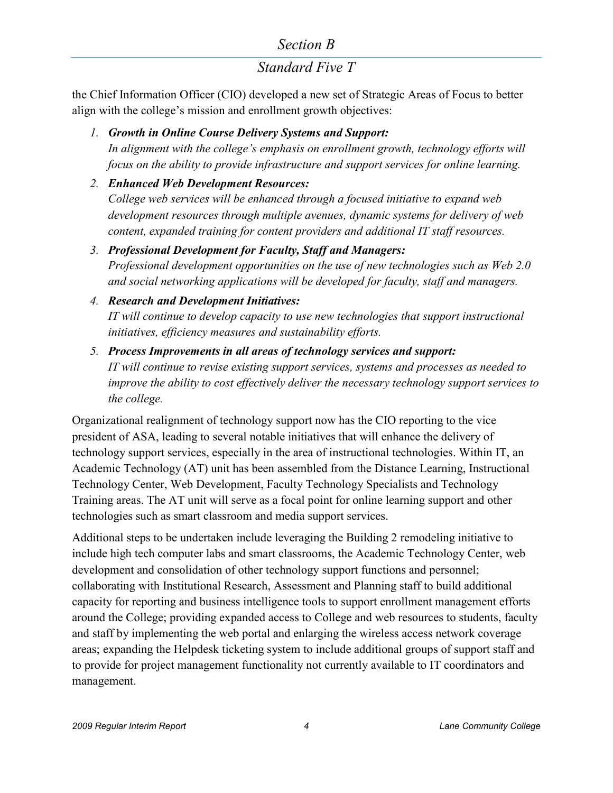## *Standard Five T*

the Chief Information Officer (CIO) developed a new set of Strategic Areas of Focus to better align with the college's mission and enrollment growth objectives:

*1. Growth in Online Course Delivery Systems and Support:*

*In alignment with the college's emphasis on enrollment growth, technology efforts will focus on the ability to provide infrastructure and support services for online learning.*

*2. Enhanced Web Development Resources:*

*College web services will be enhanced through a focused initiative to expand web development resources through multiple avenues, dynamic systems for delivery of web content, expanded training for content providers and additional IT staff resources.*

- *3. Professional Development for Faculty, Staff and Managers: Professional development opportunities on the use of new technologies such as Web 2.0 and social networking applications will be developed for faculty, staff and managers.*
- *4. Research and Development Initiatives:*

*IT will continue to develop capacity to use new technologies that support instructional initiatives, efficiency measures and sustainability efforts.*

*5. Process Improvements in all areas of technology services and support: IT will continue to revise existing support services, systems and processes as needed to improve the ability to cost effectively deliver the necessary technology support services to the college.*

Organizational realignment of technology support now has the CIO reporting to the vice president of ASA, leading to several notable initiatives that will enhance the delivery of technology support services, especially in the area of instructional technologies. Within IT, an Academic Technology (AT) unit has been assembled from the Distance Learning, Instructional Technology Center, Web Development, Faculty Technology Specialists and Technology Training areas. The AT unit will serve as a focal point for online learning support and other technologies such as smart classroom and media support services.

Additional steps to be undertaken include leveraging the Building 2 remodeling initiative to include high tech computer labs and smart classrooms, the Academic Technology Center, web development and consolidation of other technology support functions and personnel; collaborating with Institutional Research, Assessment and Planning staff to build additional capacity for reporting and business intelligence tools to support enrollment management efforts around the College; providing expanded access to College and web resources to students, faculty and staff by implementing the web portal and enlarging the wireless access network coverage areas; expanding the Helpdesk ticketing system to include additional groups of support staff and to provide for project management functionality not currently available to IT coordinators and management.